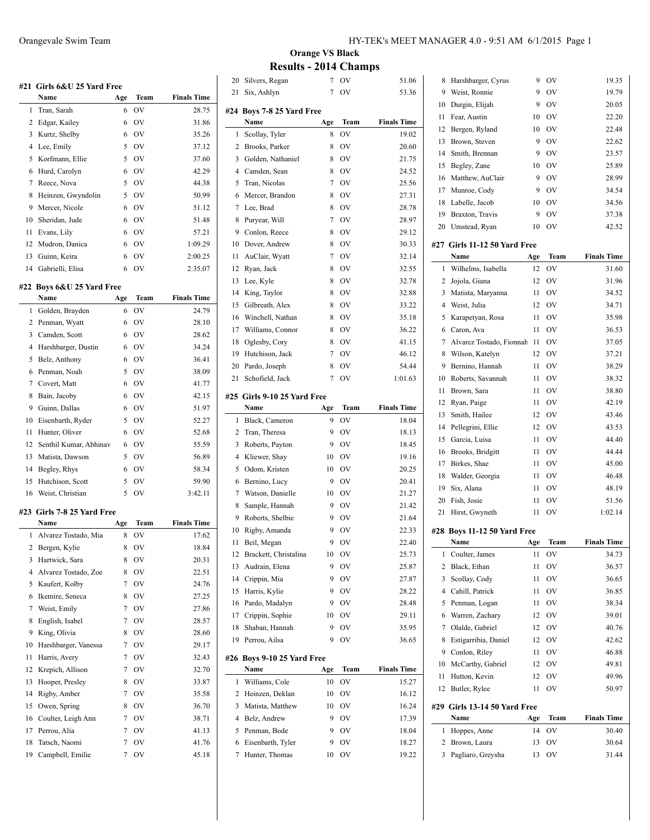|    | #21 Girls 6&U 25 Yard Free |        |           |                    |
|----|----------------------------|--------|-----------|--------------------|
|    | Name                       | Age    | Team      | <b>Finals Time</b> |
| 1  | Tran, Sarah                | 6      | OV        | 28.75              |
| 2  | Edgar, Kailey              | 6      | OV        | 31.86              |
| 3  | Kurtz, Shelby              | 6      | OV        | 35.26              |
| 4  | Lee, Emily                 | 5      | <b>OV</b> | 37.12              |
| 5  | Korfmann, Ellie            | 5      | 0V        | 37.60              |
| 6  | Hurd, Carolyn              | 6      | OV        | 42.29              |
| 7  | Reece, Nova                | 5      | <b>OV</b> | 44.38              |
| 8  | Heinzen, Gwyndolin         | 5      | <b>OV</b> | 50.99              |
| 9  | Mercer, Nicole             | 6      | <b>OV</b> | 51.12              |
| 10 | Sheridan, Jude             | 6      | <b>OV</b> | 51.48              |
| 11 | Evans, Lily                | 6      | <b>OV</b> | 57.21              |
| 12 | Mudron, Danica             | 6      | <b>OV</b> | 1:09.29            |
| 13 | Guinn, Keira               | 6      | <b>OV</b> | 2:00.25            |
| 14 | Gabrielli, Elisa           | 6      | OV        | 2:35.07            |
|    |                            |        |           |                    |
|    | #22 Boys 6&U 25 Yard Free  |        |           |                    |
|    | Name                       | Age    | Team      | <b>Finals Time</b> |
| 1  | Golden, Brayden            | 6      | OV        | 24.79              |
| 2  | Penman, Wyatt              | 6      | OV        | 28.10              |
| 3  | Camden, Scott              | 6      | OV        | 28.62              |
| 4  | Harshbarger, Dustin        | 6      | OV        | 34.24              |
| 5  | Belz, Anthony              | 6      | <b>OV</b> | 36.41              |
| 6  | Penman, Noah               | 5      | OV        | 38.09              |
| 7  | Covert, Matt               | 6      | <b>OV</b> | 41.77              |
| 8  | Bain, Jacoby               | 6      | <b>OV</b> | 42.15              |
| 9  | Guinn, Dallas              | 6      | <b>OV</b> | 51.97              |
| 10 | Eisenbarth, Ryder          | 5      | <b>OV</b> | 52.27              |
| 11 | Hunter, Oliver             | 6      | <b>OV</b> | 52.68              |
| 12 | Senthil Kumar, Abhinav     | 6      | <b>OV</b> | 55.59              |
| 13 | Matista, Dawson            | 5      | 0V        | 56.89              |
| 14 | Begley, Rhys               | 6      | <b>OV</b> | 58.34              |
| 15 | Hutchison, Scott           | 5      | OV        | 59.90              |
| 16 | Weist, Christian           | 5      | OV        | 3:42.11            |
|    |                            |        |           |                    |
|    | #23 Girls 7-8 25 Yard Free |        |           |                    |
|    | Name                       | Age    | Team      | <b>Finals Time</b> |
| 1  | Alvarez Tostado, Mia       | 8      | OV        | 17.62              |
|    | 2 Bergen, Kylie            | 8      | OV        | 18.84              |
| 3  | Hartwick, Sara             | 8      | OV        | 20.31              |
| 4  | Alvarez Tostado, Zoe       | 8      | OV        | 22.51              |
| 5  | Kaufert, Kolby             | 7      | OV        | 24.76              |
| 6  | Ikemire, Seneca            | 8      | OV        | 27.25              |
| 7  | Weist, Emily               | 7      | OV        | 27.86              |
| 8  | English, Isabel            | 7      | OV        | 28.57              |
| 9  | King, Olivia               | 8      | OV        | 28.60              |
| 10 | Harshbarger, Vanessa       | 7      | OV        | 29.17              |
| 11 | Harris, Avery              | 7      | OV        | 32.43              |
| 12 | Krepich, Allison           | 7      | OV        | 32.70              |
| 13 | Hooper, Presley            | 8      | OV        | 33.87              |
| 14 | Rigby, Amber               | 7      | OV        | 35.58              |
| 15 | Owen, Spring               | 8      | <b>OV</b> | 36.70              |
| 16 | Coulter, Leigh Ann         | $\tau$ | OV        | 38.71              |
| 17 | Perrou, Alia               | 7      | OV        | 41.13              |
| 18 | Tatsch, Naomi              | 7      | OV        | 41.76              |
| 19 | Campbell, Emilie           | 7      | OV        | 45.18              |

# **Orange VS Black Results - 2014 Champs**

|                | ,,,,,                       |                |             | пашро              |
|----------------|-----------------------------|----------------|-------------|--------------------|
| 20             | Silvers, Regan              | 7              | OV          | 51.06              |
| 21             | Six, Ashlyn                 | $\overline{7}$ | OV          | 53.36              |
|                | #24 Boys 7-8 25 Yard Free   |                |             |                    |
|                | Name                        | Age            | Team        | <b>Finals Time</b> |
| 1              |                             | 8              | OV          | 19.02              |
| $\overline{2}$ | Scollay, Tyler              | 8              |             | 20.60              |
|                | Brooks, Parker              |                | OV          |                    |
| 3              | Golden, Nathaniel           | 8              | OV          | 21.75              |
| 4              | Camden, Sean                | 8              | OV          | 24.52              |
| 5              | Tran, Nicolas               | 7              | OV          | 25.56              |
| 6              | Mercer, Brandon             | 8              | OV          | 27.31              |
| 7              | Lee, Brad                   | 8              | OV          | 28.78              |
| 8              | Puryear, Will               | 7              | OV          | 28.97              |
| 9              | Conlon, Reece               | 8              | OV          | 29.12              |
| 10             | Dover, Andrew               | 8              | OV          | 30.33              |
| 11             | AuClair, Wyatt              | 7              | OV          | 32.14              |
| 12             | Ryan, Jack                  | 8              | OV          | 32.55              |
| 13             | Lee, Kyle                   | 8              | OV          | 32.78              |
| 14             | King, Taylor                | 8              | OV          | 32.88              |
| 15             | Gilbreath, Alex             | 8              | OV          | 33.22              |
| 16             | Winchell, Nathan            | 8              | OV          | 35.18              |
| 17             | Williams, Connor            | 8              | OV          | 36.22              |
| 18             | Oglesby, Cory               | 8              | OV          | 41.15              |
| 19             | Hutchison, Jack             | 7              | OV          | 46.12              |
| 20             | Pardo, Joseph               | 8              | OV          | 54.44              |
| 21             | Schofield, Jack             | 7              | OV          | 1:01.63            |
|                | #25 Girls 9-10 25 Yard Free |                |             |                    |
|                | Name                        | Age            | Team        | <b>Finals Time</b> |
| 1              | Black, Cameron              | 9              | OV          | 18.04              |
| 2              | Tran, Theresa               | 9              | <b>OV</b>   | 18.13              |
| 3              | Roberts, Payton             | 9              | OV          | 18.45              |
| 4              | Kliewer, Shay               | 10             | OV          | 19.16              |
| 5              | Odom, Kristen               | 10             | $\hbox{OV}$ | 20.25              |
| 6              | Bernino, Lucy               | 9              | OV          | 20.41              |
| 7              |                             | 10             | OV          | 21.27              |
|                | Watson, Danielle            | 9              |             |                    |
| 8              | Sample, Hannah              |                | OV          | 21.42              |
| 9              | Roberts, Shelbie            | 9              | OV<br>OV    | 21.64              |
| 10             | Rigby, Amanda               | 9              |             | 22.33              |
| 11             | Beil, Megan                 | 9              | OV          | 22.40              |
| 12             | Brackett, Christalina       | 10             | OV          | 25.73              |
| 13             | Audrain, Elena              | 9              | OV          | 25.87              |
| 14             | Crippin, Mia                | 9              | OV          | 27.87              |
| 15             | Harris, Kylie               | 9              | OV          | 28.22              |
| 16             | Pardo, Madalyn              | 9              | OV          | 28.48              |
| 17             | Crippin, Sophie             | 10             | OV          | 29.11              |
| 18             | Shaban, Hannah              | 9              | OV          | 35.95              |
| 19             | Perrou, Ailsa               | 9              | OV          | 36.65              |
|                | #26 Boys 9-10 25 Yard Free  |                |             |                    |
|                | Name                        | Age            | Team        | <b>Finals Time</b> |
| $\mathbf{1}$   | Williams, Cole              | 10             | OV          | 15.27              |
| 2              | Heinzen, Deklan             | 10             | OV          | 16.12              |
| 3              | Matista, Matthew            | 10             | OV          | 16.24              |
| 4              | Belz, Andrew                | 9              | OV          | 17.39              |
| 5              | Penman, Bode                | 9              | OV          | 18.04              |
| 6              | Eisenbarth, Tyler           | 9              | OV          | 18.27              |
| 7              | Hunter, Thomas              | 10             | OV          | 19.22              |
|                |                             |                |             |                    |

| 8  | Harshbarger, Cyrus           | 9   | OV        | 19.35              |
|----|------------------------------|-----|-----------|--------------------|
| 9  | Weist, Ronnie                | 9   | OV        | 19.79              |
| 10 | Durgin, Elijah               | 9   | OV        | 20.05              |
| 11 | Fear, Austin                 | 10  | <b>OV</b> | 22.20              |
| 12 | Bergen, Ryland               | 10  | OV        | 22.48              |
| 13 | Brown, Steven                | 9   | <b>OV</b> | 22.62              |
| 14 | Smith, Brennan               | 9   | <b>OV</b> | 23.57              |
| 15 | Begley, Zane                 | 10  | <b>OV</b> | 25.89              |
| 16 | Matthew, AuClair             | 9   | OV        | 28.99              |
| 17 | Munroe, Cody                 | 9   | OV        | 34.54              |
| 18 | Labelle, Jacob               | 10  | <b>OV</b> | 34.56              |
| 19 | Braxton, Travis              | 9   | OV        | 37.38              |
| 20 | Umstead, Ryan                | 10  | OV        | 42.52              |
|    |                              |     |           |                    |
|    | #27 Girls 11-12 50 Yard Free |     |           |                    |
|    | Name                         | Age | Team      | <b>Finals Time</b> |
| 1  | Wilhelms, Isabella           | 12  | OV        | 31.60              |
| 2  | Jojola, Giana                | 12  | OV        | 31.96              |
| 3  | Matista, Maryanna            | 11  | OV        | 34.52              |
| 4  | Weist, Julia                 | 12  | OV        | 34.71              |
| 5  | Karapetyan, Rosa             | 11  | OV        | 35.98              |
| 6  | Caron, Ava                   | 11  | OV        | 36.53              |
| 7  | Alvarez Tostado, Fionnah     | 11  | OV        | 37.05              |
| 8  | Wilson, Katelyn              | 12  | OV        | 37.21              |
| 9  | Bernino, Hannah              | 11  | <b>OV</b> | 38.29              |
| 10 | Roberts, Savannah            | 11  | OV        | 38.32              |
| 11 | Brown, Sara                  | 11  | OV        | 38.80              |
| 12 | Ryan, Paige                  | 11  | OV        | 42.19              |
| 13 | Smith, Hailee                | 12  | OV        | 43.46              |
| 14 | Pellegrini, Ellie            | 12  | OV        | 43.53              |
| 15 | Garcia, Luisa                | 11  | OV        | 44.40              |
| 16 | Brooks, Bridgitt             | 11  | OV        | 44.44              |
| 17 | Birkes, Shae                 | 11  | OV        | 45.00              |
| 18 | Walder, Georgia              | 11  | OV        | 46.48              |
| 19 | Six, Alana                   | 11  | OV        | 48.19              |
| 20 | Fish, Josie                  | 11  | OV        | 51.56              |
| 21 | Hirst, Gwyneth               | 11  | OV        | 1:02.14            |
|    | #28 Boys 11-12 50 Yard Free  |     |           |                    |
|    | Name                         | Age | Team      | <b>Finals Time</b> |
| 1  | Coulter, James               | 11  | ov        | 34.73              |
| 2  | Black, Ethan                 | 11  | OV        | 36.57              |
| 3  | Scollay, Cody                | 11  | OV        | 36.65              |
| 4  | Cahill, Patrick              | 11  | OV        | 36.85              |
| 5  | Penman, Logan                | 11  | OV        | 38.34              |
| 6  | Warren, Zachary              | 12  | OV        | 39.01              |
| 7  | Olalde, Gabriel              | 12  | OV        | 40.76              |
| 8  | Estigarribia, Daniel         | 12  | OV        | 42.62              |
| 9  | Conlon, Riley                | 11  | OV        | 46.88              |
| 10 | McCarthy, Gabriel            | 12  | OV        | 49.81              |
| 11 | Hutton, Kevin                | 12  | OV        | 49.96              |
| 12 | Butler, Rylee                | 11  | OV        | 50.97              |
|    |                              |     |           |                    |
|    | #29 Girls 13-14 50 Yard Free |     |           |                    |
|    | Name                         | Age | Team      | <b>Finals Time</b> |
| 1  | Hoppes, Anne                 | 14  | OV        | 30.40              |
| 2  | Brown, Laura                 | 13  | OV        | 30.64              |
| 3  | Pagliaro, Greysha            | 13  | OV        | 31.44              |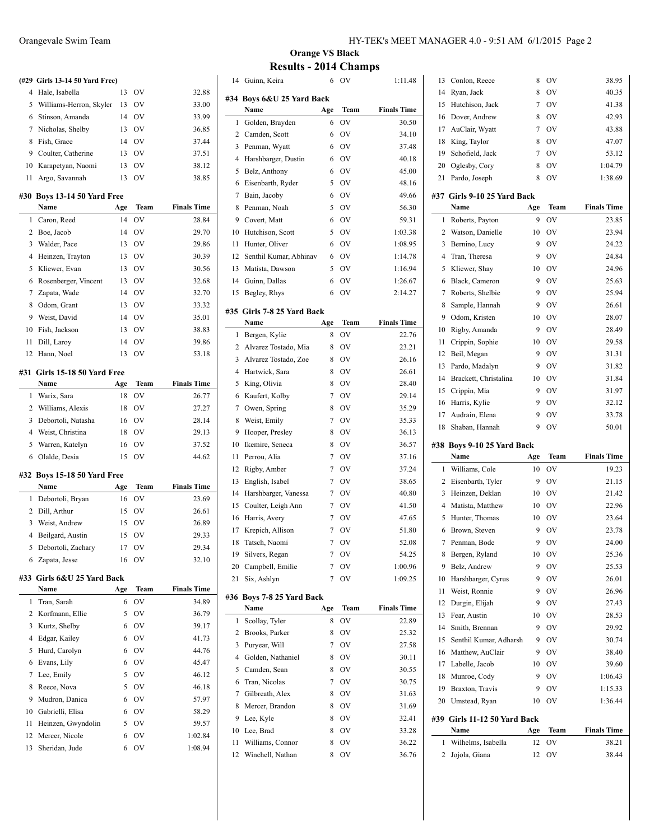|                | (#29 Girls 13-14 50 Yard Free)      |           |                        |                    |
|----------------|-------------------------------------|-----------|------------------------|--------------------|
| 4              | Hale, Isabella                      | 13        | <b>OV</b>              | 32.88              |
| 5              | Williams-Herron, Skyler             | 13        | OV                     | 33.00              |
| 6              | Stinson, Amanda                     | 14        | <b>OV</b>              | 33.99              |
| 7              | Nicholas, Shelby                    | 13        | OV                     | 36.85              |
| 8              | Fish, Grace                         | 14        | - OV                   | 37.44              |
| 9              | Coulter, Catherine                  | 13        | <b>OV</b>              | 37.51              |
| 10             | Karapetyan, Naomi                   | 13        | OV                     | 38.12              |
| 11             | Argo, Savannah                      | 13        | OV                     | 38.85              |
|                |                                     |           |                        |                    |
|                | #30 Boys 13-14 50 Yard Free<br>Name |           | Team                   | <b>Finals Time</b> |
| 1              | Caron, Reed                         | Age<br>14 | OV                     | 28.84              |
| 2              | Boe, Jacob                          | 14        | <b>OV</b>              | 29.70              |
| 3              | Walder, Pace                        | 13        | <b>OV</b>              | 29.86              |
| 4              | Heinzen, Trayton                    | 13        | <b>OV</b>              | 30.39              |
| 5              | Kliewer, Evan                       | 13        | <b>OV</b>              | 30.56              |
| 6              | Rosenberger, Vincent                | 13        | <b>OV</b>              | 32.68              |
| 7              | Zapata, Wade                        | 14        | <b>OV</b>              | 32.70              |
|                |                                     |           |                        |                    |
| 8<br>9         | Odom, Grant                         | 13<br>14  | <b>OV</b><br><b>OV</b> | 33.32              |
| 10             | Weist, David<br>Fish, Jackson       | 13        | OV                     | 35.01<br>38.83     |
|                |                                     | 14        |                        |                    |
| 11             | Dill, Laroy                         |           | OV                     | 39.86              |
| 12             | Hann, Noel                          | 13        | OV                     | 53.18              |
|                | #31 Girls 15-18 50 Yard Free        |           |                        |                    |
|                | Name                                | Age       | Team                   | <b>Finals Time</b> |
| 1              | Warix, Sara                         | 18        | OV                     | 26.77              |
| 2              | Williams, Alexis                    | 18        | OV                     | 27.27              |
| 3              | Debortoli, Natasha                  | 16        | OV                     | 28.14              |
| $\overline{4}$ | Weist, Christina                    | 18        | OV                     | 29.13              |
| 5              | Warren, Katelyn                     | 16        | OV                     | 37.52              |
| 6              | Olalde, Desia                       | 15        | OV                     | 44.62              |
|                | #32 Boys 15-18 50 Yard Free         |           |                        |                    |
|                | Name                                | Age       | Team                   | <b>Finals Time</b> |
| 1              | Debortoli, Bryan                    | 16        | OV                     | 23.69              |
| 2              | Dill, Arthur                        | 15        | OV                     | 26.61              |
| 3              | Weist, Andrew                       | 15        | OV                     | 26.89              |
| 4              | Beilgard, Austin                    | 15        | OV                     | 29.33              |
| 5              | Debortoli, Zachary                  | 17        | OV                     | 29.34              |
| 6              | Zapata, Jesse                       | 16        | OV                     | 32.10              |
|                |                                     |           |                        |                    |
| #33            | Girls 6&U 25 Yard Back              |           |                        |                    |
|                | Name                                | Age       | Team                   | <b>Finals Time</b> |
| 1              | Tran, Sarah                         | 6         | OV                     | 34.89              |
| 2              | Korfmann, Ellie                     | 5         | OV                     | 36.79              |
| 3              | Kurtz, Shelby                       | 6         | OV                     | 39.17              |
| 4              | Edgar, Kailey                       | 6         | OV                     | 41.73              |
| 5              | Hurd, Carolyn                       | 6         | <b>OV</b>              | 44.76              |
| 6              | Evans, Lily                         | 6         | OV                     | 45.47              |
| 7              | Lee, Emily                          | 5         | OV                     | 46.12              |
| 8              | Reece, Nova                         | 5         | OV                     | 46.18              |
| 9              | Mudron, Danica                      | 6         | OV                     | 57.97              |
| 10             | Gabrielli, Elisa                    | 6         | OV                     | 58.29              |
| 11             | Heinzen, Gwyndolin                  | 5         | OV                     | 59.57              |
| 12             | Mercer, Nicole                      | 6         | OV                     | 1:02.84            |
| 13             | Sheridan, Jude                      | 6         | OV                     | 1:08.94            |

# **Orange VS Black Results - 2014 Champs**

| 14             | Guinn, Keira           | 6   | OV        | 1:11.48            |
|----------------|------------------------|-----|-----------|--------------------|
| #34            | Boys 6&U 25 Yard Back  |     |           |                    |
|                | Name                   | Age | Team      | <b>Finals Time</b> |
| 1              | Golden, Brayden        | 6   | OV        | 30.50              |
| $\overline{2}$ | Camden, Scott          | 6   | OV        | 34.10              |
| 3              | Penman, Wyatt          | 6   | OV        | 37.48              |
| $\overline{4}$ | Harshbarger, Dustin    | 6   | OV        | 40.18              |
| 5              | Belz, Anthony          | 6   | <b>OV</b> | 45.00              |
| 6              | Eisenbarth, Ryder      | 5   | OV        | 48.16              |
| 7              | Bain, Jacoby           | 6   | <b>OV</b> | 49.66              |
| 8              | Penman, Noah           | 5   | OV        | 56.30              |
| 9              | Covert, Matt           | 6   | <b>OV</b> | 59.31              |
| 10             | Hutchison, Scott       | 5   | OV        | 1:03.38            |
| 11             | Hunter, Oliver         | 6   | OV        | 1:08.95            |
| 12             | Senthil Kumar, Abhinav | 6   | OV        | 1:14.78            |
| 13             | Matista, Dawson        | 5   | OV        | 1:16.94            |
| 14             | Guinn, Dallas          | 6   | OV        | 1:26.67            |
| 15             | Begley, Rhys           | 6   | OV        | 2:14.27            |
|                |                        |     |           |                    |
| #35            | Girls 7-8 25 Yard Back |     |           |                    |
|                | Name                   | Age | Team      | <b>Finals Time</b> |
| 1              | Bergen, Kylie          | 8   | OV        | 22.76              |
| 2              | Alvarez Tostado, Mia   | 8   | OV        | 23.21              |
| 3              | Alvarez Tostado, Zoe   | 8   | OV        | 26.16              |
| 4              | Hartwick, Sara         | 8   | OV        | 26.61              |
| 5              | King, Olivia           | 8   | OV        | 28.40              |
| 6              | Kaufert, Kolby         | 7   | OV        | 29.14              |
| 7              | Owen, Spring           | 8   | OV        | 35.29              |
| 8              | Weist, Emily           | 7   | OV        | 35.33              |
| 9              | Hooper, Presley        | 8   | OV        | 36.13              |
| 10             | Ikemire, Seneca        | 8   | OV        | 36.57              |
| 11             | Perrou, Alia           | 7   | OV        | 37.16              |
| 12             | Rigby, Amber           | 7   | OV        | 37.24              |
| 13             | English, Isabel        | 7   | OV        | 38.65              |
| 14             | Harshbarger, Vanessa   | 7   | OV        | 40.80              |
| 15             | Coulter, Leigh Ann     | 7   | OV        | 41.50              |
| 16             | Harris, Avery          | 7   | OV        | 47.65              |
| 17             | Krepich, Allison       | 7   | OV        | 51.80              |
| 18             | Tatsch, Naomi          | 7   | OV        | 52.08              |
| 19             | Silvers, Regan         | 7   | OV        | 54.25              |
| 20             | Campbell, Emilie       | 7   | OV        | 1:00.96            |
| 21             | Six, Ashlyn            | 7   | OV        | 1:09.25            |
| #36            | Boys 7-8 25 Yard Back  |     |           |                    |
|                | Name                   | Age | Team      | <b>Finals Time</b> |
| 1              | Scollay, Tyler         | 8   | OV        | 22.89              |
| 2              | Brooks, Parker         | 8   | OV        | 25.32              |
| 3              | Puryear, Will          | 7   | OV        | 27.58              |
| 4              | Golden, Nathaniel      | 8   | OV        | 30.11              |
| 5              | Camden, Sean           | 8   | OV        | 30.55              |
| 6              | Tran, Nicolas          | 7   | OV        | 30.75              |
| 7              | Gilbreath, Alex        | 8   | OV        | 31.63              |
| 8              | Mercer, Brandon        | 8   | OV        | 31.69              |
| 9              | Lee, Kyle              | 8   | OV        | 32.41              |
| 10             | Lee, Brad              | 8   | OV        | 33.28              |
| 11             | Williams, Connor       | 8   | OV        | 36.22              |
| 12             | Winchell, Nathan       | 8   | OV        | 36.76              |
|                |                        |     |           |                    |

|    | Conlon, Reece                        | 8         | OV          | 38.95                       |
|----|--------------------------------------|-----------|-------------|-----------------------------|
| 14 | Ryan, Jack                           | 8         | $\hbox{OV}$ | 40.35                       |
| 15 | Hutchison, Jack                      | 7         | <b>OV</b>   | 41.38                       |
| 16 | Dover, Andrew                        | 8         | <b>OV</b>   | 42.93                       |
| 17 | AuClair, Wyatt                       | 7         | OV          | 43.88                       |
| 18 | King, Taylor                         | 8         | <b>OV</b>   | 47.07                       |
| 19 | Schofield, Jack                      | 7         | OV          | 53.12                       |
| 20 | Oglesby, Cory                        | 8         | OV          | 1:04.79                     |
| 21 | Pardo, Joseph                        | 8         | OV          | 1:38.69                     |
|    |                                      |           |             |                             |
|    | #37 Girls 9-10 25 Yard Back          |           |             |                             |
|    | Name                                 | Age       | Team        | <b>Finals Time</b>          |
| 1  | Roberts, Payton                      | 9         | OV          | 23.85                       |
| 2  | Watson, Danielle                     | 10        | <b>OV</b>   | 23.94                       |
| 3  | Bernino, Lucy                        | 9         | <b>OV</b>   | 24.22                       |
| 4  | Tran, Theresa                        | 9         | <b>OV</b>   | 24.84                       |
| 5  | Kliewer, Shay                        | 10        | <b>OV</b>   | 24.96                       |
| 6  | Black, Cameron                       | 9         | OV          | 25.63                       |
| 7  | Roberts, Shelbie                     | 9         | <b>OV</b>   | 25.94                       |
| 8  | Sample, Hannah                       | 9         | OV          | 26.61                       |
| 9  | Odom, Kristen                        | 10        | OV          | 28.07                       |
| 10 | Rigby, Amanda                        | 9         | OV          | 28.49                       |
| 11 | Crippin, Sophie                      | 10        | <b>OV</b>   | 29.58                       |
| 12 | Beil, Megan                          | 9         | OV          | 31.31                       |
| 13 | Pardo, Madalyn                       | 9         | OV          | 31.82                       |
| 14 | Brackett, Christalina                | 10        | OV          | 31.84                       |
| 15 | Crippin, Mia                         | 9         | <b>OV</b>   | 31.97                       |
| 16 | Harris, Kylie                        | 9         | OV          | 32.12                       |
|    |                                      |           |             | 33.78                       |
| 17 | Audrain, Elena                       | 9         | OV          |                             |
| 18 | Shaban, Hannah                       | 9         | OV          | 50.01                       |
|    | #38 Bovs 9-10 25 Yard Back           |           |             |                             |
|    | Name                                 | Age       | Team        | <b>Finals Time</b>          |
| 1  | Williams, Cole                       | 10        | OV          | 19.23                       |
| 2  | Eisenbarth, Tyler                    | 9         | OV          | 21.15                       |
| 3  | Heinzen, Deklan                      | 10        | $\hbox{OV}$ | 21.42                       |
| 4  | Matista, Matthew                     | 10        | OV          | 22.96                       |
| 5  | Hunter, Thomas                       | 10        | OV          | 23.64                       |
| 6  | Brown, Steven                        | 9         | OV          | 23.78                       |
| 7  | Penman, Bode                         | 9         | ov          | 24.00                       |
| 8  | Bergen, Ryland                       | 10        | ov          | 25.36                       |
| 9  | Belz, Andrew                         | 9         | OV          | 25.53                       |
| 10 | Harshbarger, Cyrus                   | 9         | OV          | 26.01                       |
| 11 | Weist, Ronnie                        | 9         | OV          | 26.96                       |
| 12 | Durgin, Elijah                       | 9         | OV          | 27.43                       |
| 13 | Fear, Austin                         | 10        | OV          | 28.53                       |
| 14 | Smith, Brennan                       | 9         | <b>OV</b>   | 29.92                       |
| 15 | Senthil Kumar, Adharsh               | 9         | OV          | 30.74                       |
| 16 | Matthew, AuClair                     | 9         | OV          | 38.40                       |
| 17 | Labelle, Jacob                       | 10        | <b>OV</b>   | 39.60                       |
| 18 | Munroe, Cody                         | 9         | OV          | 1:06.43                     |
| 19 | Braxton, Travis                      | 9         | OV          | 1:15.33                     |
| 20 | Umstead, Ryan                        | 10        | ov          | 1:36.44                     |
|    |                                      |           |             |                             |
|    | #39 Girls 11-12 50 Yard Back<br>Name |           |             |                             |
| 1  | Wilhelms, Isabella                   | Age<br>12 | Team<br>OV  | <b>Finals Time</b><br>38.21 |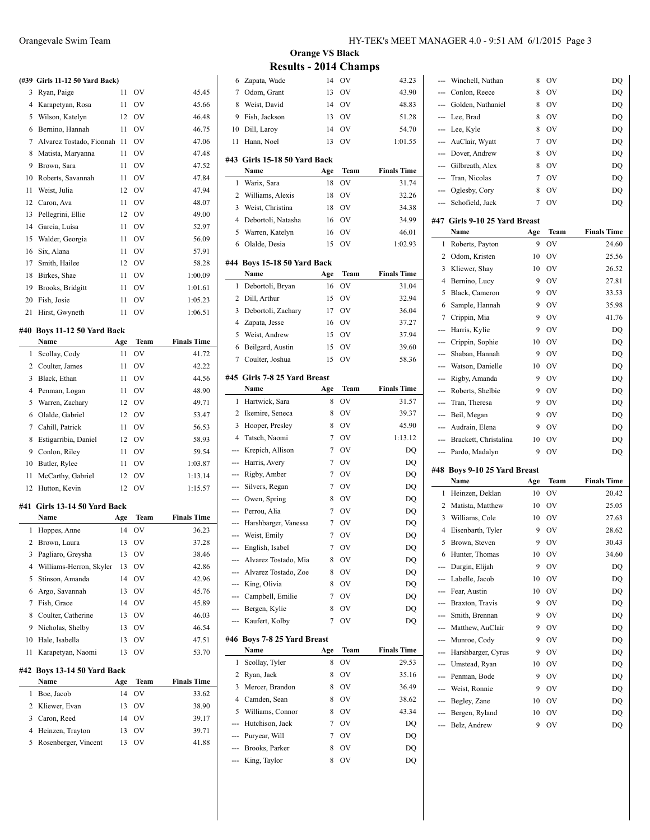|    | (#39 Girls 11-12 50 Yard Back) |     |           |                    |
|----|--------------------------------|-----|-----------|--------------------|
| 3  | Ryan, Paige                    | 11  | OV        | 45.45              |
| 4  | Karapetyan, Rosa               | 11  | OV        | 45.66              |
| 5  | Wilson, Katelyn                | 12  | OV        | 46.48              |
| 6  | Bernino, Hannah                | 11  | OV        | 46.75              |
| 7  | Alvarez Tostado, Fionnah       | 11  | OV        | 47.06              |
| 8  | Matista, Maryanna              | 11  | OV        | 47.48              |
| 9  | Brown, Sara                    | 11  | OV        | 47.52              |
| 10 | Roberts, Savannah              | 11  | OV        | 47.84              |
| 11 | Weist, Julia                   | 12  | OV        | 47.94              |
| 12 | Caron, Ava                     | 11  | <b>OV</b> | 48.07              |
| 13 | Pellegrini, Ellie              | 12  | OV        | 49.00              |
| 14 | Garcia, Luisa                  | 11  | OV        | 52.97              |
| 15 | Walder, Georgia                | 11  | OV        | 56.09              |
| 16 | Six, Alana                     | 11  | <b>OV</b> | 57.91              |
| 17 | Smith, Hailee                  | 12  | <b>OV</b> | 58.28              |
| 18 | Birkes, Shae                   | 11  | 0V        | 1:00.09            |
| 19 | Brooks, Bridgitt               | 11  | 0V        | 1:01.61            |
| 20 | Fish, Josie                    | 11  | OV        | 1:05.23            |
| 21 | Hirst, Gwyneth                 | 11  | OV        | 1:06.51            |
|    |                                |     |           |                    |
|    | #40 Boys 11-12 50 Yard Back    |     |           |                    |
|    | Name                           | Age | Team      | <b>Finals Time</b> |
| 1  | Scollay, Cody                  | 11  | OV        | 41.72              |
| 2  | Coulter, James                 | 11  | OV        | 42.22              |
| 3  | Black, Ethan                   | 11  | OV        | 44.56              |
| 4  | Penman, Logan                  | 11  | <b>OV</b> | 48.90              |
| 5  | Warren, Zachary                | 12  | OV        | 49.71              |
| 6  | Olalde, Gabriel                | 12  | <b>OV</b> | 53.47              |
| 7  | Cahill, Patrick                | 11  | <b>OV</b> | 56.53              |
| 8  | Estigarribia, Daniel           | 12  | OV        | 58.93              |
| 9  | Conlon, Riley                  | 11  | OV        | 59.54              |
| 10 | Butler, Rylee                  | 11  | <b>OV</b> | 1:03.87            |
| 11 | McCarthy, Gabriel              | 12  | OV        | 1:13.14            |
| 12 | Hutton, Kevin                  | 12  | OV        | 1:15.57            |
|    | #41 Girls 13-14 50 Yard Back   |     |           |                    |
|    | Name                           | Age | Team      | <b>Finals Time</b> |
| 1  | Hoppes, Anne                   | 14  | OV        | 36.23              |
| 2  | Brown, Laura                   | 13  | OV        | 37.28              |
| 3  | Pagliaro, Greysha              | 13  | OV        | 38.46              |
| 4  | Williams-Herron, Skyler        | 13  | OV        | 42.86              |
| 5  | Stinson, Amanda                | 14  | OV        | 42.96              |
| 6  | Argo, Savannah                 | 13  | OV        | 45.76              |
| 7  | Fish, Grace                    | 14  | OV        | 45.89              |
| 8  | Coulter, Catherine             | 13  | OV        | 46.03              |
| 9  | Nicholas, Shelby               | 13  | OV        |                    |
|    | Hale, Isabella                 |     | OV        | 46.54              |
| 10 |                                | 13  |           | 47.51              |
| 11 | Karapetyan, Naomi              | 13  | OV        | 53.70              |
|    | #42 Boys 13-14 50 Yard Back    |     |           |                    |
|    | Name                           | Age | Team      | <b>Finals Time</b> |
| 1  | Boe, Jacob                     | 14  | OV        | 33.62              |
| 2  | Kliewer, Evan                  | 13  | OV        | 38.90              |
| 3  | Caron, Reed                    | 14  | OV        | 39.17              |
| 4  | Heinzen, Trayton               | 13  | ov        | 39.71              |
| 5  | Rosenberger, Vincent           | 13  | OV        | 41.88              |

|        | <b>Orange VS Black</b>               |     |             |                    |
|--------|--------------------------------------|-----|-------------|--------------------|
|        | <b>Results - 2014 Champs</b>         |     |             |                    |
| 6      | Zapata, Wade                         | 14  | OV          | 43.23              |
| $\tau$ | Odom, Grant                          | 13  | OV          | 43.90              |
| 8      | Weist, David                         | 14  | <b>OV</b>   | 48.83              |
| 9      | Fish, Jackson                        | 13  | <b>OV</b>   | 51.28              |
| 10     | Dill, Laroy                          | 14  | OV          | 54.70              |
| 11     | Hann, Noel                           | 13  | OV          | 1:01.55            |
|        |                                      |     |             |                    |
|        | #43 Girls 15-18 50 Yard Back         |     |             |                    |
|        | Name                                 | Age | <b>Team</b> | <b>Finals Time</b> |
| 1      | Warix, Sara                          | 18  | OV          | 31.74              |
| 2      | Williams, Alexis                     | 18  | <b>OV</b>   | 32.26              |
| 3      | Weist, Christina                     | 18  | OV          | 34.38              |
| 4      | Debortoli, Natasha                   | 16  | OV          | 34.99              |
| 5      | Warren, Katelyn                      | 16  | OV          | 46.01              |
| 6      | Olalde, Desia                        | 15  | OV          | 1:02.93            |
|        | #44 Boys 15-18 50 Yard Back          |     |             |                    |
|        | Name                                 | Age | Team        | <b>Finals Time</b> |
| 1      | Debortoli, Bryan                     | 16  | OV          | 31.04              |
| 2      | Dill, Arthur                         | 15  | <b>OV</b>   | 32.94              |
| 3      | Debortoli, Zachary                   | 17  | <b>OV</b>   | 36.04              |
| 4      | Zapata, Jesse                        | 16  | <b>OV</b>   | 37.27              |
| 5      | Weist, Andrew                        | 15  | OV          | 37.94              |
| 6      | Beilgard, Austin                     | 15  | OV          | 39.60              |
| 7      | Coulter, Joshua                      | 15  | OV          | 58.36              |
|        |                                      |     |             |                    |
|        | #45 Girls 7-8 25 Yard Breast<br>Name | Age | Team        | <b>Finals Time</b> |
| 1      | Hartwick, Sara                       | 8   | OV          | 31.57              |
| 2      | Ikemire, Seneca                      | 8   | <b>OV</b>   | 39.37              |
| 3      | Hooper, Presley                      | 8   | <b>OV</b>   | 45.90              |
| 4      | Tatsch, Naomi                        | 7   | <b>OV</b>   | 1:13.12            |
| ---    | Krepich, Allison                     | 7   | <b>OV</b>   | DQ                 |
| ---    | Harris, Avery                        | 7   | <b>OV</b>   | DQ                 |
| ---    | Rigby, Amber                         | 7   | <b>OV</b>   | DQ                 |
| ---    | Silvers, Regan                       | 7   | <b>OV</b>   | DQ                 |
| ---    | Owen, Spring                         | 8   | OV          | DQ                 |
| ---    | Perrou, Alia                         | 7   | OV          | DQ                 |
|        | --- Harshbarger, Vanessa             | 7   | <b>OV</b>   | DQ                 |
| ---    | Weist, Emily                         | 7   | OV          | DQ                 |
|        | English, Isabel                      | 7   | OV          | DQ                 |
|        | Alvarez Tostado, Mia                 | 8   | OV          | DQ                 |
|        | Alvarez Tostado, Zoe                 | 8   | <b>OV</b>   | DQ                 |
|        | King, Olivia                         | 8   | OV          | DQ                 |
|        | Campbell, Emilie                     | 7   | OV          | DQ                 |
| ---    | Bergen, Kylie                        | 8   | OV          | DQ                 |
|        | Kaufert, Kolby                       | 7   | OV          | DQ                 |
|        |                                      |     |             |                    |
|        | #46 Boys 7-8 25 Yard Breast          |     |             |                    |
|        | Name                                 | Age | Team        | <b>Finals Time</b> |
| 1      | Scollay, Tyler                       | 8   | OV          | 29.53              |
| 2      | Ryan, Jack                           | 8   | OV          | 35.16              |
| 3      | Mercer, Brandon                      | 8   | OV          | 36.49              |
| 4      | Camden, Sean                         | 8   | OV          | 38.62              |
| 5      | Williams, Connor                     | 8   | OV          | 43.34              |
| ---    | Hutchison, Jack                      | 7   | OV          | DQ                 |
| ---    | Puryear, Will                        | 7   | OV          | DQ                 |
|        | Brooks, Parker                       | 8   | OV          | DQ                 |
|        | King, Taylor                         | 8   | OV          | DQ                 |

| ---                 | Winchell, Nathan                      | 8   | OV          | DQ                 |
|---------------------|---------------------------------------|-----|-------------|--------------------|
|                     | --- Conlon, Reece                     | 8   | OV          | DQ                 |
|                     | --- Golden, Nathaniel                 | 8   | OV          | DQ                 |
| ---                 | Lee, Brad                             | 8   | OV          | DQ                 |
|                     | --- Lee, Kyle                         | 8   | OV          | DQ                 |
| ---                 | AuClair, Wyatt                        | 7   | OV          | DQ                 |
| $---$               | Dover, Andrew                         | 8   | OV          | DQ                 |
|                     | --- Gilbreath, Alex                   | 8   | OV          | DQ                 |
|                     | --- Tran, Nicolas                     | 7   | OV          | DQ                 |
|                     | --- Oglesby, Cory                     | 8   | OV          | DQ                 |
| ---                 | Schofield, Jack                       | 7   | OV          | DQ                 |
|                     |                                       |     |             |                    |
|                     | #47 Girls 9-10 25 Yard Breast<br>Name | Age | Team        | <b>Finals Time</b> |
| 1                   |                                       | 9   | OV          |                    |
| 2                   | Roberts, Payton<br>Odom, Kristen      | 10  | OV          | 24.60<br>25.56     |
| 3                   |                                       | 10  | $\hbox{OV}$ |                    |
| 4                   | Kliewer, Shay                         | 9   | OV          | 26.52              |
| 5                   | Bernino, Lucy                         | 9   |             | 27.81              |
|                     | Black, Cameron                        |     | OV          | 33.53              |
| 6                   | Sample, Hannah                        | 9   | OV          | 35.98              |
| 7                   | Crippin, Mia                          | 9   | OV          | 41.76              |
| ---                 | Harris, Kylie                         | 9   | OV          | DQ                 |
| ---                 | Crippin, Sophie                       | 10  | OV          | DQ                 |
| ---                 | Shaban, Hannah                        | 9   | OV          | DQ                 |
| ---                 | Watson, Danielle                      | 10  | OV          | DQ                 |
| ---                 | Rigby, Amanda                         | 9   | OV          | DQ                 |
| $\overline{a}$      | Roberts, Shelbie                      | 9   | OV          | DQ                 |
| ---                 | Tran, Theresa                         | 9   | OV          | DQ                 |
| ---                 | Beil, Megan                           | 9   | OV          | DQ                 |
|                     |                                       |     |             |                    |
| $---$               | Audrain, Elena                        | 9   | OV          | DQ                 |
|                     | --- Brackett, Christalina             | 10  | OV          | DQ                 |
| ---                 | Pardo, Madalyn                        | 9   | OV          | DQ                 |
|                     | #48 Boys 9-10 25 Yard Breast          |     |             |                    |
|                     | Name                                  | Age | Team        | <b>Finals Time</b> |
| 1                   | Heinzen, Deklan                       | 10  | OV          | 20.42              |
| 2                   | Matista, Matthew                      | 10  | OV          | 25.05              |
| 3                   | Williams, Cole                        | 10  | OV          | 27.63              |
| 4                   | Eisenbarth, Tyler                     | 9   | OV          | 28.62              |
| 5                   | Brown, Steven                         | 9   | OV          | 30.43              |
| 6                   | Hunter, Thomas                        | 10  | OV          | 34.60              |
| ---                 | Durgin, Elijah                        | 9   | <b>OV</b>   | DQ                 |
| ---                 | Labelle, Jacob                        | 10  | OV          | DQ                 |
| ---                 | Fear, Austin                          | 10  | OV          | DQ                 |
| ---                 | Braxton, Travis                       | 9   | OV          | DQ                 |
| $\qquad \qquad - -$ | Smith, Brennan                        | 9   | OV          | DQ                 |
| ---                 | Matthew, AuClair                      | 9   | OV          | DQ                 |
| ---                 | Munroe, Cody                          | 9   | OV          | DQ                 |
| ---                 | Harshbarger, Cyrus                    | 9   | OV          | DQ                 |
| ---                 | Umstead, Ryan                         | 10  | OV          | DQ                 |
| ---                 | Penman, Bode                          | 9   | OV          | DQ                 |
| ---                 | Weist, Ronnie                         | 9   | OV          | DQ                 |
| ---                 | Begley, Zane                          | 10  | OV          | DQ                 |
|                     | --- Bergen, Ryland                    | 10  | OV          | DQ                 |
| ---                 | Belz, Andrew                          | 9   | OV          | DQ                 |
|                     |                                       |     |             |                    |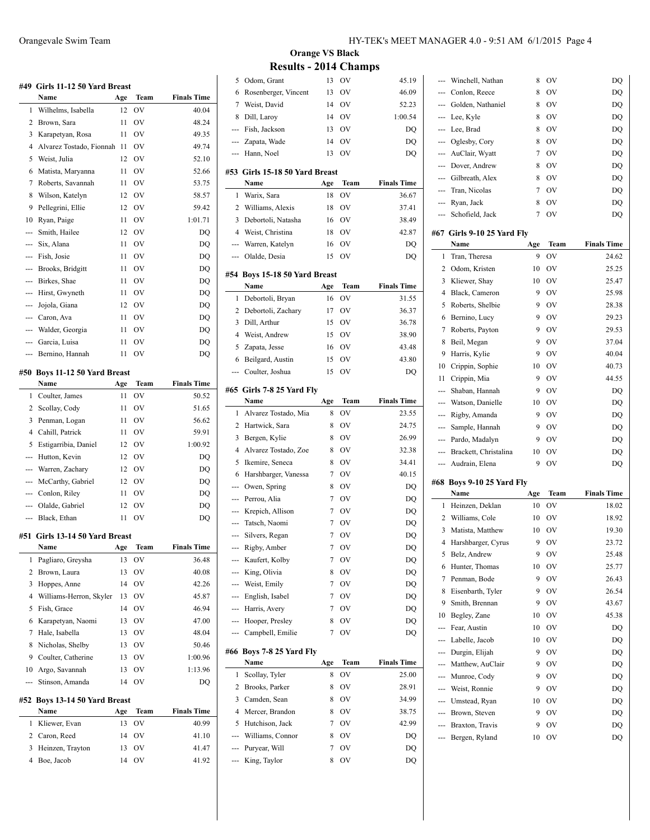|     | #49 Girls 11-12 50 Yard Breast |     |                |                    |
|-----|--------------------------------|-----|----------------|--------------------|
|     | Name                           | Age | Team           | <b>Finals Time</b> |
| 1   | Wilhelms, Isabella             | 12  | OV             | 40.04              |
| 2   | Brown, Sara                    | 11  | OV             | 48.24              |
| 3   | Karapetyan, Rosa               | 11  | <b>OV</b>      | 49.35              |
| 4   | Alvarez Tostado, Fionnah       | 11  | OV             | 49.74              |
| 5   | Weist, Julia                   | 12  | OV             | 52.10              |
| 6   | Matista, Maryanna              | 11  | <b>OV</b>      | 52.66              |
| 7   | Roberts, Savannah              | 11  | OV             | 53.75              |
| 8   | Wilson, Katelyn                | 12  | OV             | 58.57              |
| 9   | Pellegrini, Ellie              | 12  | OV             | 59.42              |
| 10  | Ryan, Paige                    | 11  | OV             | 1:01.71            |
| --- | Smith, Hailee                  | 12  | OV             | DQ                 |
| --- | Six, Alana                     | 11  | <b>OV</b>      | DQ                 |
|     | Fish, Josie                    | 11  | OV             | DQ                 |
|     | Brooks, Bridgitt               | 11  | <b>OV</b>      | DQ                 |
|     | Birkes, Shae                   | 11  | <b>OV</b>      | DQ                 |
|     | Hirst, Gwyneth                 | 11  | OV             | DQ                 |
| --- | Jojola, Giana                  | 12  | <b>OV</b>      | DQ                 |
| --- | Caron, Ava                     | 11  | <b>OV</b>      | DO                 |
| --- | Walder, Georgia                | 11  | OV             | DQ                 |
| --- | Garcia, Luisa                  | 11  | OV             | DQ                 |
| --- | Bernino, Hannah                | 11  | OV             | DQ                 |
|     |                                |     |                |                    |
|     | #50 Boys 11-12 50 Yard Breast  |     |                |                    |
|     | Name                           | Age | Team           | <b>Finals Time</b> |
| 1   | Coulter, James                 | 11  | OV             | 50.52              |
| 2   | Scollay, Cody                  | 11  | <b>OV</b>      | 51.65              |
| 3   | Penman, Logan                  | 11  | OV             | 56.62              |
| 4   | Cahill, Patrick                | 11  | <b>OV</b>      | 59.91              |
| 5   | Estigarribia, Daniel           | 12  | <b>OV</b>      | 1:00.92            |
| --- | Hutton, Kevin                  | 12  | OV             | DQ                 |
| --- | Warren, Zachary                | 12  | OV             | DQ                 |
| --- | McCarthy, Gabriel              | 12  | <b>OV</b>      | DQ                 |
|     | --- Conlon, Riley              | 11  | <b>OV</b>      | DQ                 |
| --- | Olalde, Gabriel                | 12  | <b>OV</b>      | DQ                 |
| --- | Black, Ethan                   | 11  | OV             | DQ                 |
|     | #51 Girls 13-14 50 Yard Breast |     |                |                    |
|     | Name                           | Age | Team           | <b>Finals Time</b> |
| 1   | Pagliaro, Greysha              | 13  | OV             | 36.48              |
| 2   | Brown, Laura                   | 13  | OV             | 40.08              |
| 3   | Hoppes, Anne                   | 14  | OV             | 42.26              |
| 4   | Williams-Herron, Skyler        | 13  | OV             | 45.87              |
| 5   | Fish, Grace                    | 14  | OV             | 46.94              |
| 6   | Karapetyan, Naomi              | 13  | OV             | 47.00              |
| 7   | Hale, Isabella                 | 13  | OV             | 48.04              |
| 8   | Nicholas, Shelby               | 13  | O <sub>V</sub> | 50.46              |
| 9   | Coulter, Catherine             | 13  | OV             | 1:00.96            |
| 10  | Argo, Savannah                 | 13  | OV             | 1:13.96            |
| --- | Stinson, Amanda                | 14  | OV             | DQ                 |
| #52 | Boys 13-14 50 Yard Breast      |     |                |                    |
|     | Name                           | Age | Team           | <b>Finals Time</b> |
| 1   | Kliewer, Evan                  | 13  | OV             | 40.99              |
| 2   | Caron, Reed                    | 14  | OV             | 41.10              |
| 3   | Heinzen, Trayton               | 13  | OV             | 41.47              |
| 4   | Boe, Jacob                     | 14  | OV             | 41.92              |

# **Orange VS Black Results - 2014 Champs**

| 5              | Odom, Grant                            | 13             | OV          | 45.19              |
|----------------|----------------------------------------|----------------|-------------|--------------------|
| 6              | Rosenberger, Vincent                   | 13             | $\hbox{OV}$ | 46.09              |
| 7              | Weist, David                           | 14             | OV          | 52.23              |
| 8              | Dill, Laroy                            | 14             | OV          | 1:00.54            |
| ---            | Fish, Jackson                          | 13             | OV          | DQ                 |
|                | --- Zapata, Wade                       | 14             | OV          | DQ                 |
|                | --- Hann, Noel                         | 13             | OV          | DQ                 |
|                |                                        |                |             |                    |
|                | #53 Girls 15-18 50 Yard Breast<br>Name | Age            | Team        | <b>Finals Time</b> |
| 1              | Warix, Sara                            | 18             | OV          | 36.67              |
| 2              | Williams, Alexis                       | 18             | OV          | 37.41              |
| 3              | Debortoli, Natasha                     | 16             | OV          | 38.49              |
| 4              | Weist, Christina                       | 18             | OV          | 42.87              |
|                | --- Warren, Katelyn                    | 16             | OV          | DQ                 |
| ---            | Olalde, Desia                          | 15             | OV          | DQ                 |
|                |                                        |                |             |                    |
|                | #54 Boys 15-18 50 Yard Breast          |                |             |                    |
|                | Name                                   | Age            | Team        | <b>Finals Time</b> |
| 1              | Debortoli, Bryan                       | 16             | OV          | 31.55              |
| 2              | Debortoli, Zachary                     | 17             | OV          | 36.37              |
| 3              | Dill, Arthur                           | 15             | OV          | 36.78              |
| 4              | Weist, Andrew                          | 15             | OV          | 38.90              |
| 5              | Zapata, Jesse                          | 16             | OV          | 43.48              |
| 6              | Beilgard, Austin                       | 15             | $\hbox{OV}$ | 43.80              |
| ---            | Coulter, Joshua                        | 15             | OV          | DQ                 |
|                | #65 Girls 7-8 25 Yard Fly              |                |             |                    |
|                | Name                                   | Age            | Team        | <b>Finals Time</b> |
| 1              | Alvarez Tostado, Mia                   | 8              | OV          | 23.55              |
|                |                                        |                |             |                    |
|                |                                        |                |             |                    |
| 2              | Hartwick, Sara                         | 8              | OV          | 24.75              |
| 3              | Bergen, Kylie                          | 8              | OV          | 26.99              |
| $\overline{4}$ | Alvarez Tostado, Zoe                   | 8              | OV          | 32.38              |
| 5              | Ikemire, Seneca                        | 8              | OV          | 34.41              |
| 6              | Harshbarger, Vanessa                   | 7              | OV          | 40.15              |
| ---            | Owen, Spring                           | 8              | OV          | DQ                 |
| ---            | Perrou, Alia                           | 7              | OV          | DQ                 |
|                | --- Krepich, Allison                   | 7              | OV          | DQ                 |
|                | --- Tatsch, Naomi                      | 7              | OV          | DQ                 |
|                | --- Silvers, Regan                     | $\overline{7}$ | <b>OV</b>   | DQ                 |
| ---            | Rigby, Amber                           | 7              | OV          | DQ                 |
| ---            | Kaufert, Kolby                         | 7              | OV          | DQ                 |
| ---            | King, Olivia                           | 8              | OV          | DQ                 |
|                | Weist, Emily                           | 7              | OV          | DQ                 |
| ---            | English, Isabel                        | 7              | OV          | DQ                 |
| ---            | Harris, Avery                          | 7              | OV          | DO                 |
| ---            | Hooper, Presley                        | 8              | OV          | DQ                 |
| ---            | Campbell, Emilie                       | 7              | OV          | DQ                 |
|                | #66 Boys 7-8 25 Yard Fly               |                |             |                    |
|                | Name                                   | Age            | Team        | <b>Finals Time</b> |
| 1              | Scollay, Tyler                         | 8              | OV          | 25.00              |
| 2              | Brooks, Parker                         | 8              | OV          | 28.91              |
| 3              | Camden, Sean                           | 8              | OV          | 34.99              |
| 4              | Mercer, Brandon                        | 8              | OV          | 38.75              |
| 5              | Hutchison, Jack                        | 7              | OV          | 42.99              |
| ---            | Williams, Connor                       | 8              | OV          | DQ                 |
| ---            | Puryear, Will                          | 7              | OV          | DQ                 |

| Black, Cameron<br>Roberts, Shelbie<br>Bernino, Lucy<br>Roberts, Payton<br>Beil, Megan<br>Harris, Kylie<br>10<br>Crippin, Sophie<br>Crippin, Mia<br>Shaban, Hannah<br>Watson, Danielle<br>Rigby, Amanda<br>Sample, Hannah<br>Pardo, Madalyn<br>Brackett, Christalina<br>--- Audrain, Elena<br>#68 Boys 9-10 25 Yard Fly<br>Name<br>Heinzen, Deklan<br>Williams, Cole<br>Matista, Matthew<br>Harshbarger, Cyrus<br>Belz, Andrew<br>Hunter, Thomas<br>Penman, Bode<br>Eisenbarth, Tyler<br>Smith, Brennan<br>Begley, Zane<br>Fear, Austin<br>Labelle, Jacob<br>Durgin, Elijah<br>--- Matthew, AuClair<br>--- Munroe, Cody<br>--- Weist, Ronnie<br>--- Umstead, Ryan<br>Brown, Steven | 9<br>9<br>9<br>9<br>9<br>10<br>9<br>9<br>10<br>9<br>9<br>9<br>10<br>9<br>Age<br>10<br>10<br>10<br>9<br>9<br>10<br>9<br>9<br>9<br>10<br>10<br>10<br>9<br>9<br>9<br>9<br>10<br>9 | OV<br>OV<br>OV<br>OV<br>OV<br>OV<br>OV<br>OV<br>OV<br>OV<br>OV<br>OV<br>OV<br>OV<br>Team<br>OV<br>OV<br>OV<br>OV<br><b>OV</b><br>OV<br>OV<br>OV<br>OV<br>OV<br>ov<br>ov<br>OV<br>OV<br>OV<br>OV<br>OV<br>OV | 28.38<br>29.23<br>29.53<br>37.04<br>40.04<br>40.73<br>44.55<br>DQ<br>DQ<br>DQ<br>DQ<br>DQ<br>DQ<br>DQ<br><b>Finals Time</b><br>18.02<br>18.92<br>19.30<br>23.72<br>25.48<br>25.77<br>26.43<br>26.54<br>43.67<br>45.38<br>DQ<br>DQ<br>DQ<br>DQ<br>DQ<br>DQ<br>DQ<br>DQ |
|-----------------------------------------------------------------------------------------------------------------------------------------------------------------------------------------------------------------------------------------------------------------------------------------------------------------------------------------------------------------------------------------------------------------------------------------------------------------------------------------------------------------------------------------------------------------------------------------------------------------------------------------------------------------------------------|--------------------------------------------------------------------------------------------------------------------------------------------------------------------------------|-------------------------------------------------------------------------------------------------------------------------------------------------------------------------------------------------------------|-----------------------------------------------------------------------------------------------------------------------------------------------------------------------------------------------------------------------------------------------------------------------|
|                                                                                                                                                                                                                                                                                                                                                                                                                                                                                                                                                                                                                                                                                   |                                                                                                                                                                                |                                                                                                                                                                                                             |                                                                                                                                                                                                                                                                       |
|                                                                                                                                                                                                                                                                                                                                                                                                                                                                                                                                                                                                                                                                                   |                                                                                                                                                                                |                                                                                                                                                                                                             |                                                                                                                                                                                                                                                                       |
|                                                                                                                                                                                                                                                                                                                                                                                                                                                                                                                                                                                                                                                                                   |                                                                                                                                                                                |                                                                                                                                                                                                             |                                                                                                                                                                                                                                                                       |
|                                                                                                                                                                                                                                                                                                                                                                                                                                                                                                                                                                                                                                                                                   |                                                                                                                                                                                |                                                                                                                                                                                                             |                                                                                                                                                                                                                                                                       |
|                                                                                                                                                                                                                                                                                                                                                                                                                                                                                                                                                                                                                                                                                   |                                                                                                                                                                                |                                                                                                                                                                                                             |                                                                                                                                                                                                                                                                       |
|                                                                                                                                                                                                                                                                                                                                                                                                                                                                                                                                                                                                                                                                                   |                                                                                                                                                                                |                                                                                                                                                                                                             |                                                                                                                                                                                                                                                                       |
|                                                                                                                                                                                                                                                                                                                                                                                                                                                                                                                                                                                                                                                                                   |                                                                                                                                                                                |                                                                                                                                                                                                             |                                                                                                                                                                                                                                                                       |
|                                                                                                                                                                                                                                                                                                                                                                                                                                                                                                                                                                                                                                                                                   |                                                                                                                                                                                |                                                                                                                                                                                                             |                                                                                                                                                                                                                                                                       |
|                                                                                                                                                                                                                                                                                                                                                                                                                                                                                                                                                                                                                                                                                   |                                                                                                                                                                                |                                                                                                                                                                                                             |                                                                                                                                                                                                                                                                       |
|                                                                                                                                                                                                                                                                                                                                                                                                                                                                                                                                                                                                                                                                                   |                                                                                                                                                                                |                                                                                                                                                                                                             |                                                                                                                                                                                                                                                                       |
|                                                                                                                                                                                                                                                                                                                                                                                                                                                                                                                                                                                                                                                                                   |                                                                                                                                                                                |                                                                                                                                                                                                             |                                                                                                                                                                                                                                                                       |
|                                                                                                                                                                                                                                                                                                                                                                                                                                                                                                                                                                                                                                                                                   |                                                                                                                                                                                |                                                                                                                                                                                                             |                                                                                                                                                                                                                                                                       |
|                                                                                                                                                                                                                                                                                                                                                                                                                                                                                                                                                                                                                                                                                   |                                                                                                                                                                                |                                                                                                                                                                                                             |                                                                                                                                                                                                                                                                       |
|                                                                                                                                                                                                                                                                                                                                                                                                                                                                                                                                                                                                                                                                                   |                                                                                                                                                                                |                                                                                                                                                                                                             |                                                                                                                                                                                                                                                                       |
|                                                                                                                                                                                                                                                                                                                                                                                                                                                                                                                                                                                                                                                                                   |                                                                                                                                                                                |                                                                                                                                                                                                             |                                                                                                                                                                                                                                                                       |
|                                                                                                                                                                                                                                                                                                                                                                                                                                                                                                                                                                                                                                                                                   |                                                                                                                                                                                |                                                                                                                                                                                                             |                                                                                                                                                                                                                                                                       |
|                                                                                                                                                                                                                                                                                                                                                                                                                                                                                                                                                                                                                                                                                   |                                                                                                                                                                                |                                                                                                                                                                                                             |                                                                                                                                                                                                                                                                       |
|                                                                                                                                                                                                                                                                                                                                                                                                                                                                                                                                                                                                                                                                                   |                                                                                                                                                                                |                                                                                                                                                                                                             |                                                                                                                                                                                                                                                                       |
|                                                                                                                                                                                                                                                                                                                                                                                                                                                                                                                                                                                                                                                                                   |                                                                                                                                                                                |                                                                                                                                                                                                             |                                                                                                                                                                                                                                                                       |
|                                                                                                                                                                                                                                                                                                                                                                                                                                                                                                                                                                                                                                                                                   |                                                                                                                                                                                |                                                                                                                                                                                                             |                                                                                                                                                                                                                                                                       |
|                                                                                                                                                                                                                                                                                                                                                                                                                                                                                                                                                                                                                                                                                   |                                                                                                                                                                                |                                                                                                                                                                                                             |                                                                                                                                                                                                                                                                       |
|                                                                                                                                                                                                                                                                                                                                                                                                                                                                                                                                                                                                                                                                                   |                                                                                                                                                                                |                                                                                                                                                                                                             |                                                                                                                                                                                                                                                                       |
|                                                                                                                                                                                                                                                                                                                                                                                                                                                                                                                                                                                                                                                                                   |                                                                                                                                                                                |                                                                                                                                                                                                             |                                                                                                                                                                                                                                                                       |
|                                                                                                                                                                                                                                                                                                                                                                                                                                                                                                                                                                                                                                                                                   |                                                                                                                                                                                |                                                                                                                                                                                                             |                                                                                                                                                                                                                                                                       |
|                                                                                                                                                                                                                                                                                                                                                                                                                                                                                                                                                                                                                                                                                   |                                                                                                                                                                                |                                                                                                                                                                                                             |                                                                                                                                                                                                                                                                       |
|                                                                                                                                                                                                                                                                                                                                                                                                                                                                                                                                                                                                                                                                                   |                                                                                                                                                                                |                                                                                                                                                                                                             |                                                                                                                                                                                                                                                                       |
|                                                                                                                                                                                                                                                                                                                                                                                                                                                                                                                                                                                                                                                                                   |                                                                                                                                                                                |                                                                                                                                                                                                             |                                                                                                                                                                                                                                                                       |
|                                                                                                                                                                                                                                                                                                                                                                                                                                                                                                                                                                                                                                                                                   |                                                                                                                                                                                |                                                                                                                                                                                                             |                                                                                                                                                                                                                                                                       |
|                                                                                                                                                                                                                                                                                                                                                                                                                                                                                                                                                                                                                                                                                   |                                                                                                                                                                                |                                                                                                                                                                                                             |                                                                                                                                                                                                                                                                       |
|                                                                                                                                                                                                                                                                                                                                                                                                                                                                                                                                                                                                                                                                                   |                                                                                                                                                                                |                                                                                                                                                                                                             |                                                                                                                                                                                                                                                                       |
|                                                                                                                                                                                                                                                                                                                                                                                                                                                                                                                                                                                                                                                                                   |                                                                                                                                                                                |                                                                                                                                                                                                             |                                                                                                                                                                                                                                                                       |
|                                                                                                                                                                                                                                                                                                                                                                                                                                                                                                                                                                                                                                                                                   |                                                                                                                                                                                |                                                                                                                                                                                                             |                                                                                                                                                                                                                                                                       |
|                                                                                                                                                                                                                                                                                                                                                                                                                                                                                                                                                                                                                                                                                   |                                                                                                                                                                                |                                                                                                                                                                                                             |                                                                                                                                                                                                                                                                       |
|                                                                                                                                                                                                                                                                                                                                                                                                                                                                                                                                                                                                                                                                                   |                                                                                                                                                                                |                                                                                                                                                                                                             |                                                                                                                                                                                                                                                                       |
|                                                                                                                                                                                                                                                                                                                                                                                                                                                                                                                                                                                                                                                                                   |                                                                                                                                                                                |                                                                                                                                                                                                             |                                                                                                                                                                                                                                                                       |
|                                                                                                                                                                                                                                                                                                                                                                                                                                                                                                                                                                                                                                                                                   |                                                                                                                                                                                |                                                                                                                                                                                                             |                                                                                                                                                                                                                                                                       |
|                                                                                                                                                                                                                                                                                                                                                                                                                                                                                                                                                                                                                                                                                   | 9                                                                                                                                                                              | OV                                                                                                                                                                                                          | 25.98                                                                                                                                                                                                                                                                 |
| Kliewer, Shay                                                                                                                                                                                                                                                                                                                                                                                                                                                                                                                                                                                                                                                                     | 10                                                                                                                                                                             | OV                                                                                                                                                                                                          | 25.47                                                                                                                                                                                                                                                                 |
| Odom, Kristen                                                                                                                                                                                                                                                                                                                                                                                                                                                                                                                                                                                                                                                                     | 10                                                                                                                                                                             | OV                                                                                                                                                                                                          | 25.25                                                                                                                                                                                                                                                                 |
| Tran, Theresa                                                                                                                                                                                                                                                                                                                                                                                                                                                                                                                                                                                                                                                                     | 9                                                                                                                                                                              | OV                                                                                                                                                                                                          | 24.62                                                                                                                                                                                                                                                                 |
| Name                                                                                                                                                                                                                                                                                                                                                                                                                                                                                                                                                                                                                                                                              | Age                                                                                                                                                                            | Team                                                                                                                                                                                                        | <b>Finals Time</b>                                                                                                                                                                                                                                                    |
| #67 Girls 9-10 25 Yard Fly                                                                                                                                                                                                                                                                                                                                                                                                                                                                                                                                                                                                                                                        |                                                                                                                                                                                |                                                                                                                                                                                                             |                                                                                                                                                                                                                                                                       |
| Schofield, Jack                                                                                                                                                                                                                                                                                                                                                                                                                                                                                                                                                                                                                                                                   | 7                                                                                                                                                                              | OV                                                                                                                                                                                                          | DQ                                                                                                                                                                                                                                                                    |
| Ryan, Jack                                                                                                                                                                                                                                                                                                                                                                                                                                                                                                                                                                                                                                                                        | 8                                                                                                                                                                              | OV                                                                                                                                                                                                          | DQ                                                                                                                                                                                                                                                                    |
| Tran, Nicolas                                                                                                                                                                                                                                                                                                                                                                                                                                                                                                                                                                                                                                                                     | 7                                                                                                                                                                              | OV                                                                                                                                                                                                          | DQ                                                                                                                                                                                                                                                                    |
| Gilbreath, Alex                                                                                                                                                                                                                                                                                                                                                                                                                                                                                                                                                                                                                                                                   | 8                                                                                                                                                                              | OV                                                                                                                                                                                                          | DQ                                                                                                                                                                                                                                                                    |
| --- Dover, Andrew                                                                                                                                                                                                                                                                                                                                                                                                                                                                                                                                                                                                                                                                 | 8                                                                                                                                                                              | OV                                                                                                                                                                                                          | DQ                                                                                                                                                                                                                                                                    |
| --- AuClair, Wyatt                                                                                                                                                                                                                                                                                                                                                                                                                                                                                                                                                                                                                                                                | 7                                                                                                                                                                              | OV                                                                                                                                                                                                          | DO                                                                                                                                                                                                                                                                    |
|                                                                                                                                                                                                                                                                                                                                                                                                                                                                                                                                                                                                                                                                                   |                                                                                                                                                                                |                                                                                                                                                                                                             | DQ                                                                                                                                                                                                                                                                    |
|                                                                                                                                                                                                                                                                                                                                                                                                                                                                                                                                                                                                                                                                                   |                                                                                                                                                                                |                                                                                                                                                                                                             | DQ                                                                                                                                                                                                                                                                    |
|                                                                                                                                                                                                                                                                                                                                                                                                                                                                                                                                                                                                                                                                                   |                                                                                                                                                                                |                                                                                                                                                                                                             | DQ                                                                                                                                                                                                                                                                    |
| ---                                                                                                                                                                                                                                                                                                                                                                                                                                                                                                                                                                                                                                                                               |                                                                                                                                                                                |                                                                                                                                                                                                             | DQ                                                                                                                                                                                                                                                                    |
| ---                                                                                                                                                                                                                                                                                                                                                                                                                                                                                                                                                                                                                                                                               |                                                                                                                                                                                |                                                                                                                                                                                                             | DQ                                                                                                                                                                                                                                                                    |
|                                                                                                                                                                                                                                                                                                                                                                                                                                                                                                                                                                                                                                                                                   | 8                                                                                                                                                                              |                                                                                                                                                                                                             | DQ                                                                                                                                                                                                                                                                    |
|                                                                                                                                                                                                                                                                                                                                                                                                                                                                                                                                                                                                                                                                                   | Winchell, Nathan<br>Conlon, Reece<br>Golden, Nathaniel<br>--- Lee, Kyle<br>--- Lee, Brad<br>--- Oglesby, Cory                                                                  | 8<br>8<br>8<br>8<br>8                                                                                                                                                                                       | ov<br>OV<br>OV<br>OV<br>OV<br>OV                                                                                                                                                                                                                                      |